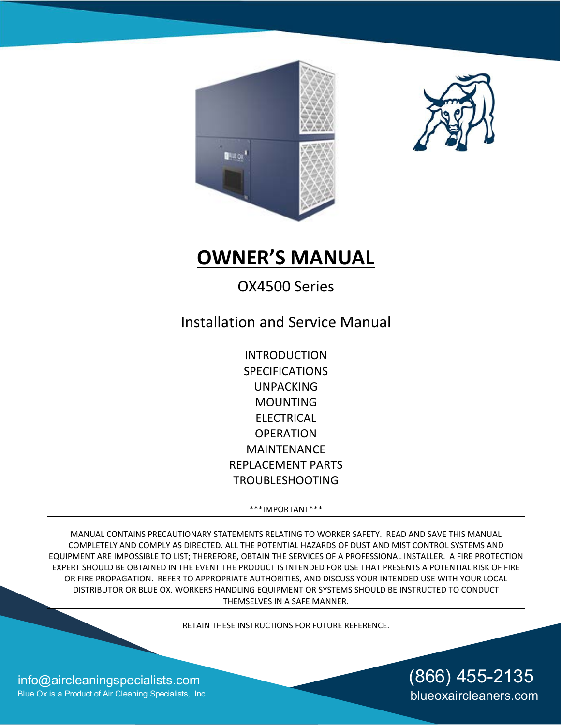



# **OWNER'S MANUAL**

# OX4500 Series

Installation and Service Manual

INTRODUCTION SPECIFICATIONS UNPACKING MOUNTING ELECTRICAL **OPERATION** MAINTENANCE REPLACEMENT PARTS TROUBLESHOOTING

\*\*\*IMPORTANT\*\*\*

MANUAL CONTAINS PRECAUTIONARY STATEMENTS RELATING TO WORKER SAFETY. READ AND SAVE THIS MANUAL COMPLETELY AND COMPLY AS DIRECTED. ALL THE POTENTIAL HAZARDS OF DUST AND MIST CONTROL SYSTEMS AND EQUIPMENT ARE IMPOSSIBLE TO LIST; THEREFORE, OBTAIN THE SERVICES OF A PROFESSIONAL INSTALLER. A FIRE PROTECTION EXPERT SHOULD BE OBTAINED IN THE EVENT THE PRODUCT IS INTENDED FOR USE THAT PRESENTS A POTENTIAL RISK OF FIRE OR FIRE PROPAGATION. REFER TO APPROPRIATE AUTHORITIES, AND DISCUSS YOUR INTENDED USE WITH YOUR LOCAL DISTRIBUTOR OR BLUE OX. WORKERS HANDLING EQUIPMENT OR SYSTEMS SHOULD BE INSTRUCTED TO CONDUCT THEMSELVES IN A SAFE MANNER.

RETAIN THESE INSTRUCTIONS FOR FUTURE REFERENCE.

[info@aircleaningspecialists.com](mailto:info@aircleaningspecialists.com) Blue Ox is a Product of Air Cleaning Specialists, Inc.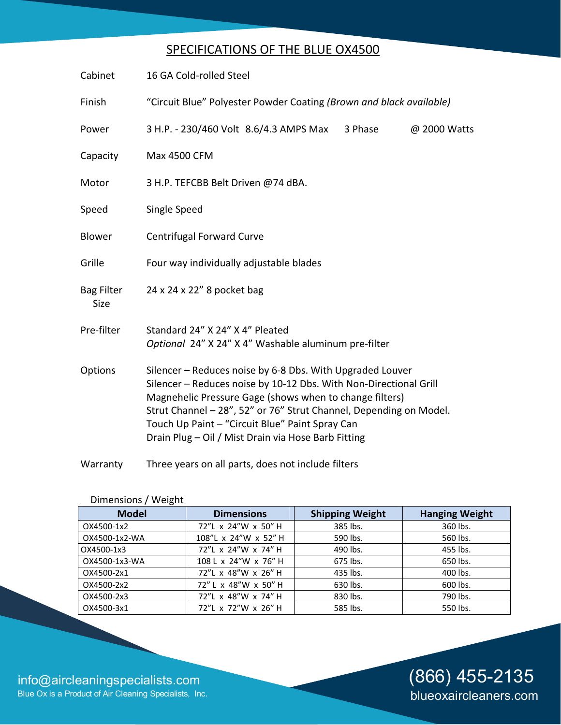### SPECIFICATIONS OF THE BLUE OX4500

| Cabinet                          | 16 GA Cold-rolled Steel                                                                                                                                                                                                                                                                                                                                                   |  |  |
|----------------------------------|---------------------------------------------------------------------------------------------------------------------------------------------------------------------------------------------------------------------------------------------------------------------------------------------------------------------------------------------------------------------------|--|--|
| Finish                           | "Circuit Blue" Polyester Powder Coating (Brown and black available)                                                                                                                                                                                                                                                                                                       |  |  |
| Power                            | 3 H.P. - 230/460 Volt 8.6/4.3 AMPS Max<br>3 Phase<br>@ 2000 Watts                                                                                                                                                                                                                                                                                                         |  |  |
| Capacity                         | Max 4500 CFM                                                                                                                                                                                                                                                                                                                                                              |  |  |
| Motor                            | 3 H.P. TEFCBB Belt Driven @74 dBA.                                                                                                                                                                                                                                                                                                                                        |  |  |
| Speed                            | Single Speed                                                                                                                                                                                                                                                                                                                                                              |  |  |
| <b>Blower</b>                    | <b>Centrifugal Forward Curve</b>                                                                                                                                                                                                                                                                                                                                          |  |  |
| Grille                           | Four way individually adjustable blades                                                                                                                                                                                                                                                                                                                                   |  |  |
| <b>Bag Filter</b><br><b>Size</b> | 24 x 24 x 22" 8 pocket bag                                                                                                                                                                                                                                                                                                                                                |  |  |
| Pre-filter                       | Standard 24" X 24" X 4" Pleated<br>Optional 24" X 24" X 4" Washable aluminum pre-filter                                                                                                                                                                                                                                                                                   |  |  |
| Options                          | Silencer - Reduces noise by 6-8 Dbs. With Upgraded Louver<br>Silencer - Reduces noise by 10-12 Dbs. With Non-Directional Grill<br>Magnehelic Pressure Gage (shows when to change filters)<br>Strut Channel - 28", 52" or 76" Strut Channel, Depending on Model.<br>Touch Up Paint - "Circuit Blue" Paint Spray Can<br>Drain Plug - Oil / Mist Drain via Hose Barb Fitting |  |  |
| Warranty                         | Three years on all parts, does not include filters                                                                                                                                                                                                                                                                                                                        |  |  |

| <b>Model</b>  | <b>Dimensions</b>    | <b>Shipping Weight</b> | <b>Hanging Weight</b> |
|---------------|----------------------|------------------------|-----------------------|
| OX4500-1x2    | 72"L x 24"W x 50" H  | 385 lbs.               | 360 lbs.              |
| OX4500-1x2-WA | 108"L x 24"W x 52" H | 590 lbs.               | 560 lbs.              |
| OX4500-1x3    | 72"L x 24"W x 74" H  | 490 lbs.               | 455 lbs.              |
| OX4500-1x3-WA | 108 L x 24"W x 76" H | 675 lbs.               | 650 lbs.              |
| OX4500-2x1    | 72"L x 48"W x 26" H  | 435 lbs.               | 400 lbs.              |
| OX4500-2x2    | 72" L x 48"W x 50" H | 630 lbs.               | 600 lbs.              |
| OX4500-2x3    | 72"L x 48"W x 74" H  | 830 lbs.               | 790 lbs.              |
| OX4500-3x1    | 72"L x 72"W x 26" H  | 585 lbs.               | 550 lbs.              |

Dimensions / Weight

[info@aircleaningspecialists.com](mailto:info@aircleaningspecialists.com) Blue Ox is a Product of Air Cleaning Specialists, Inc.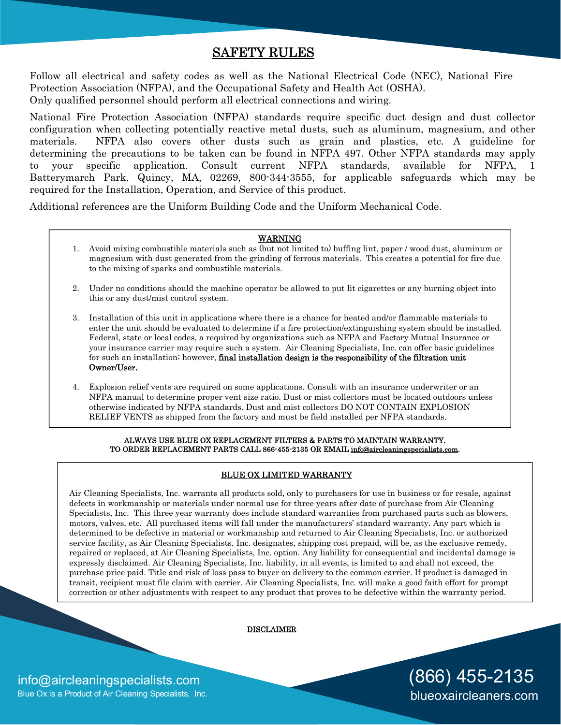### SAFETY RULES

Follow all electrical and safety codes as well as the National Electrical Code (NEC), National Fire Protection Association (NFPA), and the Occupational Safety and Health Act (OSHA). Only qualified personnel should perform all electrical connections and wiring.

National Fire Protection Association (NFPA) standards require specific duct design and dust collector configuration when collecting potentially reactive metal dusts, such as aluminum, magnesium, and other materials. NFPA also covers other dusts such as grain and plastics, etc. A guideline for determining the precautions to be taken can be found in NFPA 497. Other NFPA standards may apply to your specific application. Consult current NFPA standards, available for NFPA, 1 Batterymarch Park, Quincy, MA, 02269, 800-344-3555, for applicable safeguards which may be required for the Installation, Operation, and Service of this product.

Additional references are the Uniform Building Code and the Uniform Mechanical Code.

#### WARNING

- 1. Avoid mixing combustible materials such as (but not limited to) buffing lint, paper / wood dust, aluminum or magnesium with dust generated from the grinding of ferrous materials. This creates a potential for fire due to the mixing of sparks and combustible materials.
- 2. Under no conditions should the machine operator be allowed to put lit cigarettes or any burning object into this or any dust/mist control system.
- 3. Installation of this unit in applications where there is a chance for heated and/or flammable materials to enter the unit should be evaluated to determine if a fire protection/extinguishing system should be installed. Federal, state or local codes, a required by organizations such as NFPA and Factory Mutual Insurance or your insurance carrier may require such a system. Air Cleaning Specialists, Inc. can offer basic guidelines for such an installation; however, **final installation design is the responsibility of the filtration unit** Owner/User.
- 4. Explosion relief vents are required on some applications. Consult with an insurance underwriter or an NFPA manual to determine proper vent size ratio. Dust or mist collectors must be located outdoors unless otherwise indicated by NFPA standards. Dust and mist collectors DO [NOT CONTAIN EXPLOSION](mailto:info@aircleaningspecialists.com) RELIEF VENTS as shipped from the factory and must be field installed per NFPA standards.

#### ALWAYS USE BLUE OX REPLACEMENT FILTERS & PARTS TO MAINTAIN WARRANTY. TO ORDER REPLACEMENT PARTS CALL 866-455-2135 OR EMAIL info@aircleaningspecialists.com.

#### BLUE OX LIMITED WARRANTY

Air Cleaning Specialists, Inc. warrants all products sold, only to purchasers for use in business or for resale, against defects in workmanship or materials under normal use for three years after date of purchase from Air Cleaning Specialists, Inc. This three year warranty does include standard warranties from purchased parts such as blowers, motors, valves, etc. All purchased items will fall under the manufacturers' standard warranty. Any part which is determined to be defective in material or workmanship and returned to Air Cleaning Specialists, Inc. or authorized service facility, as Air Cleaning Specialists, Inc. designates, shipping cost prepaid, will be, as the exclusive remedy, repaired or replaced, at Air Cleaning Specialists, Inc. option. Any liability for consequential and incidental damage is expressly disclaimed. Air Cleaning Specialists, Inc. liability, in all events, is limited to and shall not exceed, the purchase price paid. Title and risk of loss pass to buyer on delivery to the common carrier. If product is damaged in transit, recipient must file claim with carrier. Air Cleaning Specialists, Inc. will make a good faith effort for prompt correction or other adjustments with respect to any product that proves to be defective within the warranty period.

DISCLAIMER

(866) 455-2135 blueoxaircleaners.com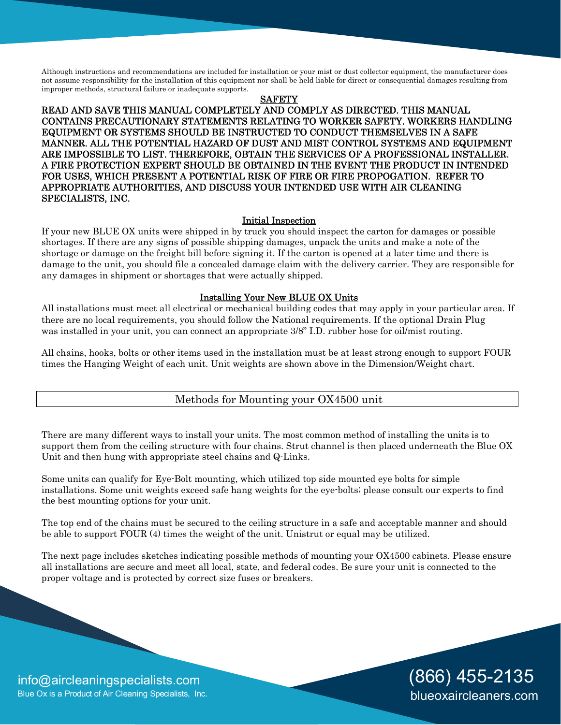Although instructions and recommendations are included for installation or your mist or dust collector equipment, the manufacturer does not assume responsibility for the installation of this equipment nor shall be held liable for direct or consequential damages resulting from improper methods, structural failure or inadequate supports.

#### SAFETY

READ AND SAVE THIS MANUAL COMPLETELY AND COMPLY AS DIRECTED. THIS MANUAL CONTAINS PRECAUTIONARY STATEMENTS RELATING TO WORKER SAFETY. WORKERS HANDLING EQUIPMENT OR SYSTEMS SHOULD BE INSTRUCTED TO CONDUCT THEMSELVES IN A SAFE MANNER. ALL THE POTENTIAL HAZARD OF DUST AND MIST CONTROL SYSTEMS AND EQUIPMENT ARE IMPOSSIBLE TO LIST. THEREFORE, OBTAIN THE SERVICES OF A PROFESSIONAL INSTALLER. A FIRE PROTECTION EXPERT SHOULD BE OBTAINED IN THE EVENT THE PRODUCT IN INTENDED FOR USES, WHICH PRESENT A POTENTIAL RISK OF FIRE OR FIRE PROPOGATION. REFER TO APPROPRIATE AUTHORITIES, AND DISCUSS YOUR INTENDED USE WITH AIR CLEANING SPECIALISTS, INC.

#### Initial Inspection

If your new BLUE OX units were shipped in by truck you should inspect the carton for damages or possible shortages. If there are any signs of possible shipping damages, unpack the units and make a note of the shortage or damage on the freight bill before signing it. If the carton is opened at a later time and there is damage to the unit, you should file a concealed damage claim with the delivery carrier. They are responsible for any damages in shipment or shortages that were actually shipped.

#### Installing Your New BLUE OX Units

All installations must meet all electrical or mechanical building codes that may apply in your particular area. If there are no local requirements, you should follow the National requirements. If the optional Drain Plug was installed in your unit, you can connect an appropriate 3/8" I.D. rubber hose for oil/mist routing.

All chains, hooks, bolts or other items used in the installation must be at least strong enough to support FOUR times the Hanging Weight of each unit. Unit weights are shown above in the Dimension/Weight chart.

### Methods for Mounting your OX4500 unit

There are many different ways to install your units. The most common method of installing the units is to support them from the ceiling structure with four chains. Strut channel is then placed underneath the Blue OX Unit and then hung with appropriate steel chains and Q-Links.

Some units can qualify for Eye-Bolt mounting, which utilized top side mounted eye bolts for simple installations. Some unit weights exceed safe hang weights for the eye-bolts; please consult our experts to find the best mounting options for your unit.

The top end of the chains must be secured to the ceiling structure in a safe and acceptable manner and should be able to support FOUR (4) times the weight of the unit. Unistrut or equal may be utilized.

The next page includes sketches indicating possible methods of mounting your OX4500 cabinets. Please ensure all installations are secure and meet all local, state, and federal codes. Be sure your unit is connected to the proper voltage and is protected by correct size fuses or breakers.

> (866) 455-2135 blueoxaircleaners.com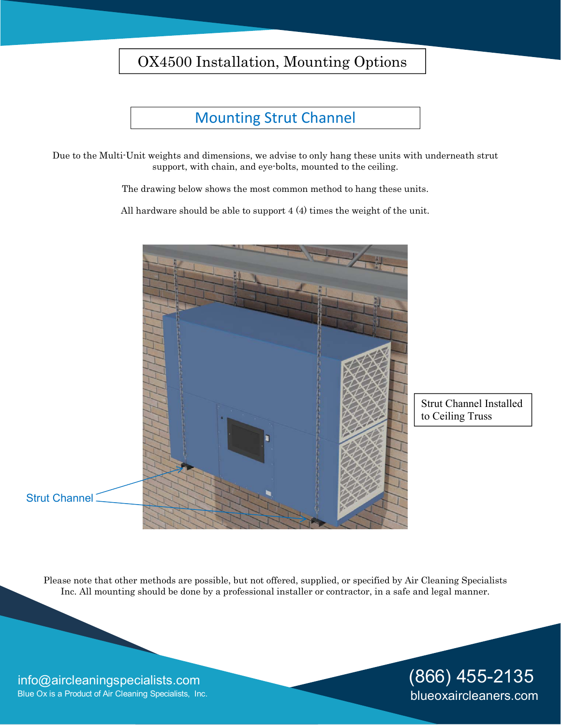# OX4500 Installation, Mounting Options

## Mounting Strut Channel

Due to the Multi-Unit weights and dimensions, we advise to only hang these units with underneath strut support, with chain, and eye-bolts, mounted to the ceiling.

The drawing below shows the most common method to hang these units.

All hardware should be able to support 4 (4) times the weight of the unit.



Strut Channel Installed to Ceiling Truss

Please note that other methods are possible, but not offered, supplied, or specified by Air Cleaning Specialists Inc. All mounting should be done by a professional installer or contractor, in a safe and legal manner.

### [info@aircleaningspecialists.com](mailto:info@aircleaningspecialists.com) Blue Ox is a Product of Air Cleaning Specialists, Inc.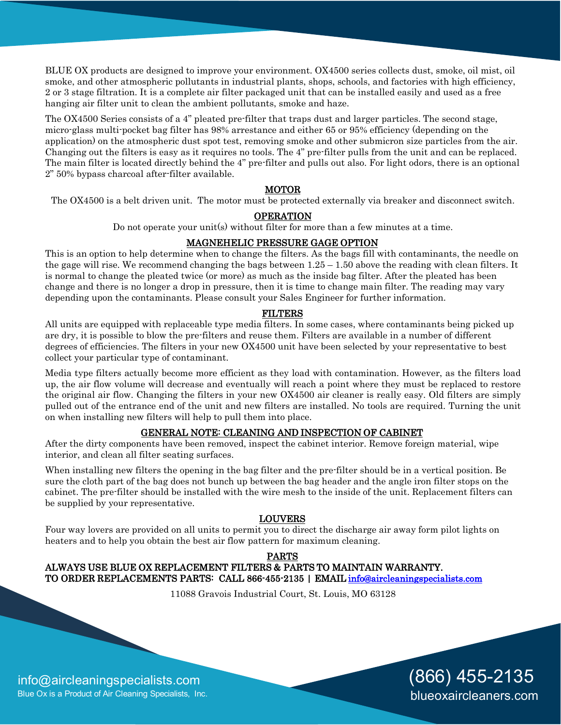BLUE OX products are designed to improve your environment. OX4500 series collects dust, smoke, oil mist, oil smoke, and other atmospheric pollutants in industrial plants, shops, schools, and factories with high efficiency, 2 or 3 stage filtration. It is a complete air filter packaged unit that can be installed easily and used as a free hanging air filter unit to clean the ambient pollutants, smoke and haze.

The OX4500 Series consists of a 4" pleated pre-filter that traps dust and larger particles. The second stage, micro-glass multi-pocket bag filter has 98% arrestance and either 65 or 95% efficiency (depending on the application) on the atmospheric dust spot test, removing smoke and other submicron size particles from the air. Changing out the filters is easy as it requires no tools. The 4" pre-filter pulls from the unit and can be replaced. The main filter is located directly behind the 4" pre-filter and pulls out also. For light odors, there is an optional 2" 50% bypass charcoal after-filter available.

### MOTOR

The OX4500 is a belt driven unit. The motor must be protected externally via breaker and disconnect switch.

### **OPERATION**

Do not operate your unit(s) without filter for more than a few minutes at a time.

### MAGNEHELIC PRESSURE GAGE OPTION

This is an option to help determine when to change the filters. As the bags fill with contaminants, the needle on the gage will rise. We recommend changing the bags between  $1.25 - 1.50$  above the reading with clean filters. It is normal to change the pleated twice (or more) as much as the inside bag filter. After the pleated has been change and there is no longer a drop in pressure, then it is time to change main filter. The reading may vary depending upon the contaminants. Please consult your Sales Engineer for further information.

#### FILTERS

All units are equipped with replaceable type media filters. In some cases, where contaminants being picked up are dry, it is possible to blow the pre-filters and reuse them. Filters are available in a number of different degrees of efficiencies. The filters in your new OX4500 unit have been selected by your representative to best collect your particular type of contaminant.

Media type filters actually become more efficient as they load with contamination. However, as the filters load up, the air flow volume will decrease and eventually will reach a point where they must be replaced to restore the original air flow. Changing the filters in your new OX4500 air cleaner is really easy. Old filters are simply pulled out of the entrance end of the unit and new filters are installed. No tools are required. Turning the unit on when installing new filters will help to pull them into place.

#### GENERAL NOTE: CLEANING AND INSPECTION OF CABINET

After the dirty components have been removed, inspect the cabinet interior. Remove foreign material, wipe interior, and clean all filter seating surfaces.

When installing new filters the opening in the bag filter and the pre-filter should be in a vertical position. Be sure the cloth part of the bag does not bunch up between the bag header and the angle iron filter stops on the cabinet. The pre-filter should be installed with the wire mesh to the inside of the unit. Replacement filters can be supplied by your representative.

### LOUVERS

Four way lovers are provided on all units to permit you to direct the discharge air away form pilot lights on heaters and to help you obtain the best air flow pattern for maximum cleaning.

#### PARTS

### ALWAYS USE BLUE OX REPLACEMENT FILTERS & PARTS TO MAINTAIN WARRANTY. TO ORDER REPLACEMENTS PARTS: CALL 866-455-2135 | EMAIL info@aircleaningspecialists.com

11088 Gravois Industrial Court, St. Louis, MO 63128

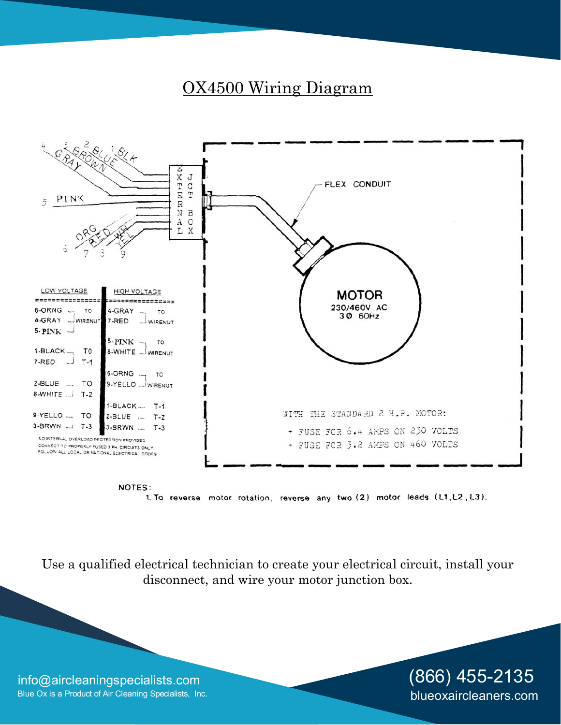# OX4500 Wiring Diagram



1. To reverse motor rotation, reverse any two (2) motor leads (L1, L2, L3).

Use a qualified electrical technician to create your electrical circuit, install your disconnect, and wire your motor junction box.

[info@aircleaningspecialists.com](mailto:info@aircleaningspecialists.com) Blue Ox is a Product of Air Cleaning Specialists, Inc.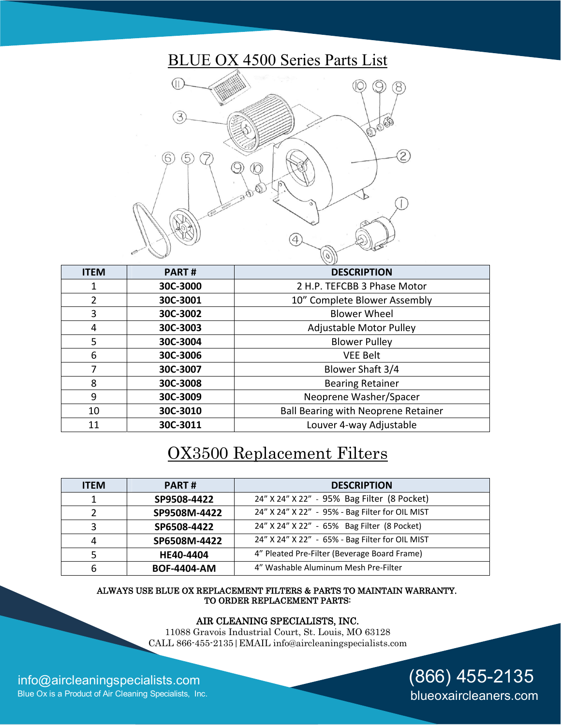# BLUE OX 4500 Series Parts List



| <b>ITEM</b>    | <b>PART#</b> | <b>DESCRIPTION</b>                         |
|----------------|--------------|--------------------------------------------|
|                | 30C-3000     | 2 H.P. TEFCBB 3 Phase Motor                |
| $\overline{2}$ | 30C-3001     | 10" Complete Blower Assembly               |
| 3              | 30C-3002     | <b>Blower Wheel</b>                        |
| 4              | 30C-3003     | <b>Adjustable Motor Pulley</b>             |
| 5              | 30C-3004     | <b>Blower Pulley</b>                       |
| 6              | 30C-3006     | <b>VEE Belt</b>                            |
| 7              | 30C-3007     | Blower Shaft 3/4                           |
| 8              | 30C-3008     | <b>Bearing Retainer</b>                    |
| 9              | 30C-3009     | Neoprene Washer/Spacer                     |
| 10             | 30C-3010     | <b>Ball Bearing with Neoprene Retainer</b> |
| 11             | 30C-3011     | Louver 4-way Adjustable                    |

# OX3500 Replacement Filters

| <b>ITEM</b> | <b>PART#</b>       | <b>DESCRIPTION</b>                              |
|-------------|--------------------|-------------------------------------------------|
|             | SP9508-4422        | 24" X 24" X 22" - 95% Bag Filter (8 Pocket)     |
|             | SP9508M-4422       | 24" X 24" X 22" - 95% - Bag Filter for OIL MIST |
| 3           | SP6508-4422        | 24" X 24" X 22" - 65% Bag Filter (8 Pocket)     |
| 4           | SP6508M-4422       | 24" X 24" X 22" - 65% - Bag Filter for OIL MIST |
|             | HE40-4404          | 4" Pleated Pre-Filter (Beverage Board Frame)    |
|             | <b>BOF-4404-AM</b> | 4" Washable Aluminum Mesh Pre-Filter            |

#### ALWAYS USE BLUE OX REPLACEMENT FILTERS & PARTS TO MAINTAIN WARRANTY. TO ORDER REPLACEMENT PARTS:

#### AIR CLEANING SPECIALISTS, INC.

11088 Gravois Industrial Court, St. Louis, MO 63128 CALL 866-455-2135|EMAIL i[nfo@aircleaningspecialists.com](mailto:info@aircleaningspecialists.com) 

(866) 455-2135

blueoxaircleaners.com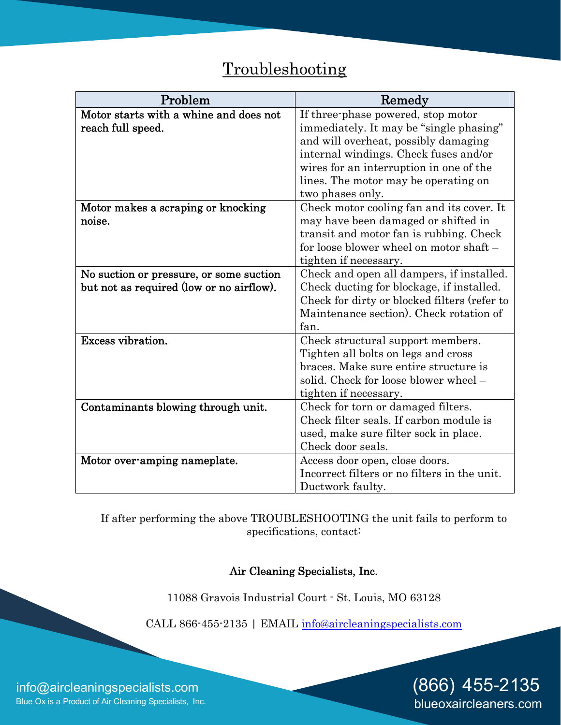# Troubleshooting

| Problem                                  | Remedy                                       |  |
|------------------------------------------|----------------------------------------------|--|
| Motor starts with a whine and does not   | If three-phase powered, stop motor           |  |
| reach full speed.                        | immediately. It may be "single phasing"      |  |
|                                          | and will overheat, possibly damaging         |  |
|                                          | internal windings. Check fuses and/or        |  |
|                                          | wires for an interruption in one of the      |  |
|                                          | lines. The motor may be operating on         |  |
|                                          | two phases only.                             |  |
| Motor makes a scraping or knocking       | Check motor cooling fan and its cover. It    |  |
| noise.                                   | may have been damaged or shifted in          |  |
|                                          | transit and motor fan is rubbing. Check      |  |
|                                          | for loose blower wheel on motor shaft -      |  |
|                                          | tighten if necessary.                        |  |
| No suction or pressure, or some suction  | Check and open all dampers, if installed.    |  |
| but not as required (low or no airflow). | Check ducting for blockage, if installed.    |  |
|                                          | Check for dirty or blocked filters (refer to |  |
|                                          | Maintenance section). Check rotation of      |  |
|                                          | fan.                                         |  |
| Excess vibration.                        | Check structural support members.            |  |
|                                          | Tighten all bolts on legs and cross          |  |
|                                          | braces. Make sure entire structure is        |  |
|                                          | solid. Check for loose blower wheel -        |  |
|                                          | tighten if necessary.                        |  |
| Contaminants blowing through unit.       | Check for torn or damaged filters.           |  |
|                                          | Check filter seals. If carbon module is      |  |
|                                          | used, make sure filter sock in place.        |  |
|                                          | Check door seals.                            |  |
| Motor over-amping nameplate.             | Access door open, close doors.               |  |
|                                          | Incorrect filters or no filters in the unit. |  |
|                                          | Ductwork faulty.                             |  |

If after performing the above TROUBLESHOOTING the unit fails to perform to specifications, contact:

Air Cleaning Specialists, Inc.

11088 Gravois Industrial Court - St. Louis, MO 63128

CALL 866-455-2135 | EM[AIL info@aircleaningspecialists.c](mailto:info@aircleaningspecialists.com)om

(866) 455-2135 blueoxaircleaners.com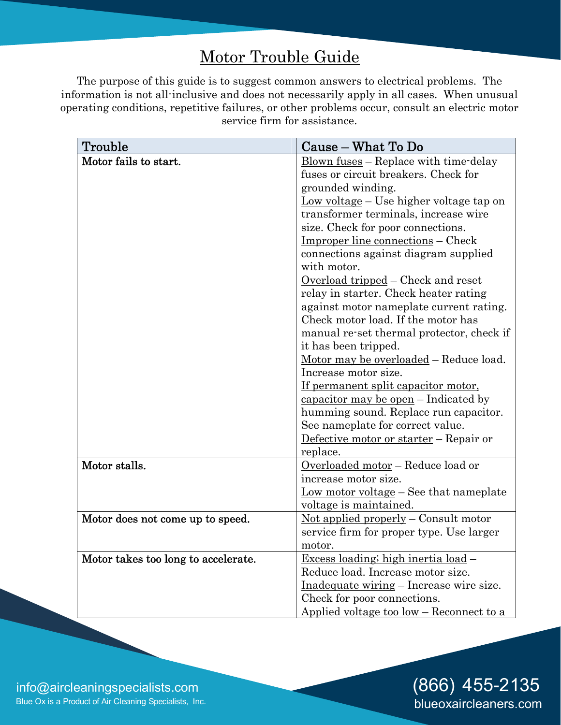# Motor Trouble Guide

The purpose of this guide is to suggest common answers to electrical problems. The information is not all-inclusive and does not necessarily apply in all cases. When unusual operating conditions, repetitive failures, or other problems occur, consult an electric motor service firm for assistance.

| Trouble                             | Cause – What To Do                                                  |
|-------------------------------------|---------------------------------------------------------------------|
| Motor fails to start.               | $\frac{\text{Blown fuses}}{\text{Higgs}}$ - Replace with time-delay |
|                                     | fuses or circuit breakers. Check for                                |
|                                     | grounded winding.                                                   |
|                                     | $Low voltage – Use higher voltage tap on$                           |
|                                     | transformer terminals, increase wire                                |
|                                     | size. Check for poor connections.                                   |
|                                     | <u>Improper line connections</u> – Check                            |
|                                     | connections against diagram supplied                                |
|                                     | with motor.                                                         |
|                                     | <u>Overload tripped</u> – Check and reset                           |
|                                     | relay in starter. Check heater rating                               |
|                                     | against motor nameplate current rating.                             |
|                                     | Check motor load. If the motor has                                  |
|                                     | manual re-set thermal protector, check if                           |
|                                     | it has been tripped.                                                |
|                                     | <u>Motor may be overloaded</u> – Reduce load.                       |
|                                     | Increase motor size.                                                |
|                                     | If permanent split capacitor motor,                                 |
|                                     | capacitor may be open - Indicated by                                |
|                                     | humming sound. Replace run capacitor.                               |
|                                     | See nameplate for correct value.                                    |
|                                     | Defective motor or starter - Repair or                              |
|                                     | replace.                                                            |
| Motor stalls.                       | Overloaded motor - Reduce load or                                   |
|                                     | increase motor size.                                                |
|                                     | <u>Low motor voltage</u> $-$ See that nameplate                     |
|                                     | voltage is maintained.                                              |
| Motor does not come up to speed.    | Not applied properly $-$ Consult motor                              |
|                                     | service firm for proper type. Use larger                            |
|                                     | motor.                                                              |
| Motor takes too long to accelerate. | <u>Excess loading; high inertia load</u> -                          |
|                                     | Reduce load. Increase motor size.                                   |
|                                     | <u>Inadequate wiring</u> – Increase wire size.                      |
|                                     | Check for poor connections.                                         |
|                                     | Applied voltage too low - Reconnect to a                            |